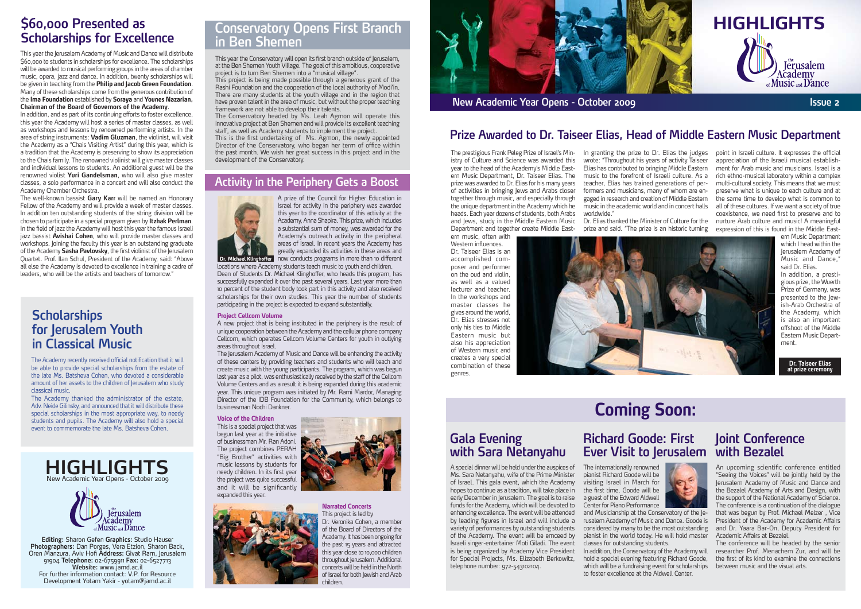# **Scholarships for Excellence**

This year the Jerusalem Academy of Music and Dance will distribute \$60,000 to students in scholarships for excellence. The scholarships will be awarded to musical performing groups in the areas of chamber music, opera, jazz and dance. In addition, twenty scholarships will be given in teaching from the Philip and Jacob Green Foundation. Many of these scholarships come from the generous contribution of the Ima Foundation established by Soraya and Younes Nazarian, Chairman of the Board of Governors of the Academy.

In addition, and as part of its continuing efforts to foster excellence, this year the Academy will host a series of master classes, as well as workshops and lessons by renowned performing artists. In the area of string instruments: Vadim Gluzman, the violinist, will visit the Academy as a "Chais Visiting Artist" during this year, which is a tradition that the Academy is preserving to show its appreciation to the Chais family. The renowned violinist will give master classes and individual lessons to students. An additional guest will be the renowned violist Yuri Gandelsman, who will also give master classes, a solo performance in a concert and will also conduct the Academy Chamber Orchestra.

The well-known bassist Gary Karr will be named an Honorary Fellow of the Academy and will provide a week of master classes. In addition ten outstanding students of the string division will be chosen to participate in a special program given by **Itzhak Perlman**. In the field of jazz the Academy will host this year the famous Israeli jazz bassist **Avishai Cohen**, who will provide master classes and workshops. Joining the faculty this year is an outstanding graduate. of the Academy Sasha Pavlovsky, the first violinist of the lerusalem Quartet. Prof. Ilan Schul, President of the Academy, said: "Above all else the Academy is devoted to excellence in training a cadre of leaders, who will be the artists and teachers of tomorrow.

Western influences. Dr. Taiseer Elias is an poser and performer accomplished comon the oud and violin, as well as a valued lecturer and teacher. In the workshops and master classes he gives around the world, Dr. Elias stresses not only his ties to Middle Eastern music but also his appreciation of Western music and creates a very special combination of these .genres

In granting the prize to Dr. Elias the judges wrote: "Throughout his years of activity Taiseer Elias has contributed to bringing Middle Eastern music to the forefront of Israeli culture. As a gaged in research and creation of Middle Eastern formers and musicians, many of whom are enteacher, Elias has trained generations of permusic in the academic world and in concert halls ".worldwide

prize and said. "The prize is an historic turning



## **Coming Soon:**

#### **Evening Gala** with Sara Netanyahu

A special dinner will be held under the auspices of Ms. Sara Netanyahu, wife of the Prime Minister of Israel. This gala event, which the Academy hopes to continue as a tradition, will take place in early December in Jerusalem. The goal is to raise funds for the Academy, which will be devoted to enhancing excellence. The event will be attended by leading figures in Israel and will include a variety of performances by outstanding students of the Academy. The event will be emceed by Israeli singer-entertainer Moti Giladi. The event is being organized by Academy Vice President for Special Projects, Ms. Elizabeth Berkowitz, telephone number: 972-543102104.

The internationally renowned pianist Richard Goode will be visiting Israel in March for the first time. Goode will be a guest of the Edward Aldwell Center for Piano Performance rusalem Academy of Music and Dance. Goode is and Musicianship at the Conservatory of the Jeconsidered by many to be the most outstanding pianist in the world today. He will hold master classes for outstanding students. In addition, the Conservatory of the Academy will hold a special evening featuring Richard Goode, which will be a fundraising event for scholarships to foster excellence at the Aldwell Center.



point in Israeli culture. It expresses the official ment for Arab music and musicians. Israel is a appreciation of the Israeli musical establishrich ethno-musical laboratory within a complex multi-cultural society. This means that we must preserve what is unique to each culture and at the same time to develop what is common to all of these cultures. If we want a society of true coexistence, we need first to preserve and to nurture Arab culture and music! A meaningful expression of this is found in the Middle East-

> ern Music Department which I head within the lerusalem Academy of Music and Dance,' said Dr. Elias.

> gious prize, the Wuerth In addition, a presti-Prize of Germany, was ish-Arab Orchestra of presented to the lewthe Academy, which is also an important offshoot of the Middle Eastern Music Depart-<br>ment.

> > **Dr. Taiseer Elias** at prize ceremony

# **Richard Goode: First**



#### **Ever Visit to Jerusalem with Bezalel Joint Conference**

An upcoming scientific conference entitled "Seeing the Voices" will be jointly held by the Jerusalem Academy of Music and Dance and the Bezalel Academy of Arts and Design, with the support of the National Academy of Science. The conference is a continuation of the dialogue that was begun by Prof. Michael Melzer, Vice President of the Academy for Academic Affairs and Dr. Yaara Bar-On, Deputy President for Academic Affairs at Bezalel.

The conference will be headed by the senior researcher Prof. Menachem Zur, and will be the first of its kind to examine the connections between music and the visual arts.



#### **Prize Awarded to Dr. Taiseer Elias, Head of Middle Eastern Music Department**

istry of Culture and Science was awarded this The prestigious Frank Peleg Prize of Israel's Minern Music Department, Dr. Taiseer Elias. The year to the head of the Academy's Middle Eastprize was awarded to Dr. Elias for his many years of activities in bringing lews and Arabs closer together through music, and especially through the unique department in the Academy which he heads. Each year dozens of students, both Arabs and Jews, study in the Middle Eastern Music Dr. Elias thanked the Minister of Culture for the Department and together create Middle East-<br>ern music, often with

The Academy recently received official notification that it will be able to provide special scholarships from the estate of the late Ms. Batsheva Cohen, who devoted a considerable amount of her assets to the children of Jerusalem who study .music classical

The Academy thanked the administrator of the estate, Adv. Neide Gilinsky, and announced that it will distribute these special scholarships in the most appropriate way, to needy students and pupils. The Academy will also hold a special event to commemorate the late Ms. Batsheva Cohen.

### **Scholarships** for Jerusalem Youth **in Classical Music**

**Narrated Concerts** This project is led by Dr. Veronika Cohen, a member of the Board of Directors of the Academy. It has been ongoing for the past 15 years and attracted this year close to 10,000 children throughout lerusalem. Additional concerts will be held in the North of Israel for both lewish and Arab .children





**Editing: Sharon Gefen Graphics: Studio Hauser** Photographers: Dan Porges, Vera Etzion, Sharon Back, Oren Manzura, Aviv Hofi **Address:** Givat Ram, Jerusalem 91904 Telephone: 02-6759911 Fax: 02-6527713 **Website:** www.jamd.ac.il For further information contact: V.P. for Resource Development Yotam Yakir - yotam@jamd.ac.il

# **in Ben Shemen**

This year the Conservatory will open its first branch outside of Jerusalem, at the Ben Shemen Youth Village. The goal of this ambitious, cooperative project is to turn Ben Shemen into a "musical village".

This project is being made possible through a generous grant of the Rashi Foundation and the cooperation of the local authority of Modi'in. There are many students at the youth village and in the region that have proven talent in the area of music, but without the proper teaching framework are not able to develop their talents.

The Conservatory headed by Ms. Leah Agmon will operate this innovative project at Ben Shemen and will provide its excellent teaching staff, as well as Academy students to implement the project.

This is the first undertaking of Ms. Agmon, the newly appointed Director of the Conservatory, who began her term of office within the past month. We wish her great success in this project and in the development of the Conservatory.

#### **Activity in the Periphery Gets a Boost**



A prize of the Council for Higher Education in Israel for activity in the periphery was awarded this year to the coordinator of this activity at the Academy, Anna Shapira. This prize, which includes a substantial sum of money, was awarded for the Academy's outreach activity in the peripheral areas of Israel. In recent years the Academy has greatly expanded its activities in these areas and fer now conducts programs in more than 10 different

locations where Academy students teach music to youth and children. Dean of Students Dr. Michael Klinghoffer, who heads this program, has successfully expanded it over the past several years. Last year more than 10 percent of the student body took part in this activity and also received scholarships for their own studies. This year the number of students participating in the project is expected to expand substantially.

#### **Project Cellcom Volume**

A new project that is being instituted in the periphery is the result of unique cooperation between the Academy and the cellular phone company Cellcom, which operates Cellcom Volume Centers for youth in outlying areas throughout Israel.

The Jerusalem Academy of Music and Dance will be enhancing the activity of these centers by providing teachers and students who will teach and create music with the young participants. The program, which was begun last vear as a pilot, was enthusiastically received by the staff of the Cellcom Volume Centers and as a result it is being expanded during this academic vear. This unique program was initiated by Mr. Rami Mardor. Managing Director of the IDB Foundation for the Community, which belongs to businessman Nochi Dankner.

#### **Voice of the Children**

This is a special project that was begun last year at the initiative of businessman Mr. Ran Adoni. The project combines PERAH "Big Brother" activities with music lessons by students for needy children. In its first year the project was quite successful and it will be significantly expanded this year.